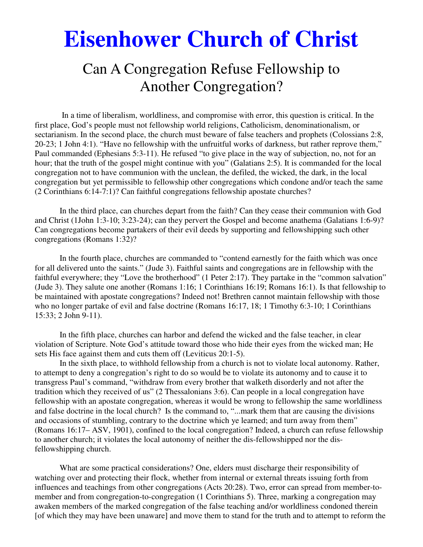# **Eisenhower Church of Christ**

# Can A Congregation Refuse Fellowship to Another Congregation?

 In a time of liberalism, worldliness, and compromise with error, this question is critical. In the first place, God's people must not fellowship world religions, Catholicism, denominationalism, or sectarianism. In the second place, the church must beware of false teachers and prophets (Colossians 2:8, 20-23; 1 John 4:1). "Have no fellowship with the unfruitful works of darkness, but rather reprove them," Paul commanded (Ephesians 5:3-11). He refused "to give place in the way of subjection, no, not for an hour; that the truth of the gospel might continue with you" (Galatians 2:5). It is commanded for the local congregation not to have communion with the unclean, the defiled, the wicked, the dark, in the local congregation but yet permissible to fellowship other congregations which condone and/or teach the same (2 Corinthians 6:14-7:1)? Can faithful congregations fellowship apostate churches?

 In the third place, can churches depart from the faith? Can they cease their communion with God and Christ (1John 1:3-10; 3:23-24); can they pervert the Gospel and become anathema (Galatians 1:6-9)? Can congregations become partakers of their evil deeds by supporting and fellowshipping such other congregations (Romans 1:32)?

 In the fourth place, churches are commanded to "contend earnestly for the faith which was once for all delivered unto the saints." (Jude 3). Faithful saints and congregations are in fellowship with the faithful everywhere; they "Love the brotherhood" (1 Peter 2:17). They partake in the "common salvation" (Jude 3). They salute one another (Romans 1:16; 1 Corinthians 16:19; Romans 16:1). Is that fellowship to be maintained with apostate congregations? Indeed not! Brethren cannot maintain fellowship with those who no longer partake of evil and false doctrine (Romans 16:17, 18; 1 Timothy 6:3-10; 1 Corinthians 15:33; 2 John 9-11).

 In the fifth place, churches can harbor and defend the wicked and the false teacher, in clear violation of Scripture. Note God's attitude toward those who hide their eyes from the wicked man; He sets His face against them and cuts them off (Leviticus 20:1-5).

 In the sixth place, to withhold fellowship from a church is not to violate local autonomy. Rather, to attempt to deny a congregation's right to do so would be to violate its autonomy and to cause it to transgress Paul's command, "withdraw from every brother that walketh disorderly and not after the tradition which they received of us" (2 Thessalonians 3:6). Can people in a local congregation have fellowship with an apostate congregation, whereas it would be wrong to fellowship the same worldliness and false doctrine in the local church? Is the command to, "...mark them that are causing the divisions and occasions of stumbling, contrary to the doctrine which ye learned; and turn away from them" (Romans 16:17– ASV, 1901), confined to the local congregation? Indeed, a church can refuse fellowship to another church; it violates the local autonomy of neither the dis-fellowshipped nor the disfellowshipping church.

 What are some practical considerations? One, elders must discharge their responsibility of watching over and protecting their flock, whether from internal or external threats issuing forth from influences and teachings from other congregations (Acts 20:28). Two, error can spread from member-tomember and from congregation-to-congregation (1 Corinthians 5). Three, marking a congregation may awaken members of the marked congregation of the false teaching and/or worldliness condoned therein [of which they may have been unaware] and move them to stand for the truth and to attempt to reform the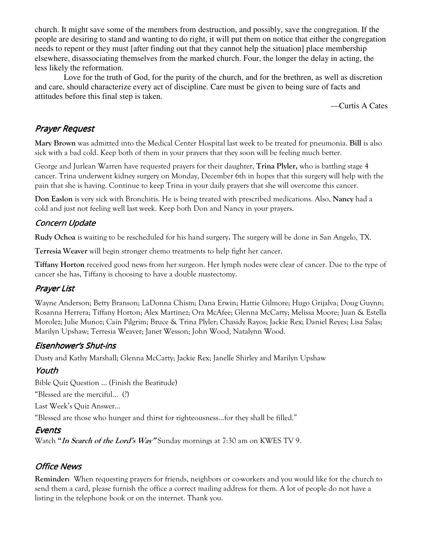church. It might save some of the members from destruction, and possibly, save the congregation. If the people are desiring to stand and wanting to do right, it will put them on notice that either the congregation needs to repent or they must [after finding out that they cannot help the situation] place membership elsewhere, disassociating themselves from the marked church. Four, the longer the delay in acting, the less likely the reformation.

 Love for the truth of God, for the purity of the church, and for the brethren, as well as discretion and care, should characterize every act of discipline. Care must be given to being sure of facts and attitudes before this final step is taken.

—Curtis A Cates

## Prayer Request

**Mary Brown** was admitted into the Medical Center Hospital last week to be treated for pneumonia. **Bill** is also sick with a bad cold. Keep both of them in your prayers that they soon will be feeling much better.

George and Jurlean Warren have requested prayers for their daughter, **Trina Plyler,** who is battling stage 4 cancer. Trina underwent kidney surgery on Monday, December 6th in hopes that this surgery will help with the pain that she is having. Continue to keep Trina in your daily prayers that she will overcome this cancer.

**Don Easlon** is very sick with Bronchitis. He is being treated with prescribed medications. Also, **Nancy** had a cold and just not feeling well last week. Keep both Don and Nancy in your prayers.

#### Concern Update

**Rudy Ochoa** is waiting to be rescheduled for his hand surgery**.** The surgery will be done in San Angelo, TX.

**Terresia Weaver** will begin stronger chemo treatments to help fight her cancer.

**Tiffany Horton** received good news from her surgeon. Her lymph nodes were clear of cancer. Due to the type of cancer she has, Tiffany is choosing to have a double mastectomy.

## Prayer List

Wayne Anderson; Betty Branson; LaDonna Chism; Dana Erwin; Hattie Gilmore; Hugo Grijalva; Doug Guynn; Rosanna Herrera; Tiffany Horton; Alex Martinez; Ora McAfee; Glenna McCarty; Melissa Moore; Juan & Estella Morolez; Julie Munoz; Cain Pilgrim; Bruce & Trina Plyler; Chasidy Rayos; Jackie Rex; Daniel Reyes; Lisa Salas; Marilyn Upshaw; Terresia Weaver; Janet Wesson; John Wood, Natalynn Wood.

#### Eisenhower's Shut-ins

Dusty and Kathy Marshall; Glenna McCarty; Jackie Rex; Janelle Shirley and Marilyn Upshaw

#### Youth

Bible Quiz Question … (Finish the Beatitude) "Blessed are the merciful… (?)

Last Week's Quiz Answer...

"Blessed are those who hunger and thirst for righteousness...for they shall be filled."

## **Events**

Watch **"In Search of the Lord's Way"** Sunday mornings at 7:30 am on KWES TV 9.

## Office News

**Reminder:** When requesting prayers for friends, neighbors or co-workers and you would like for the church to send them a card, please furnish the office a correct mailing address for them. A lot of people do not have a listing in the telephone book or on the internet. Thank you.